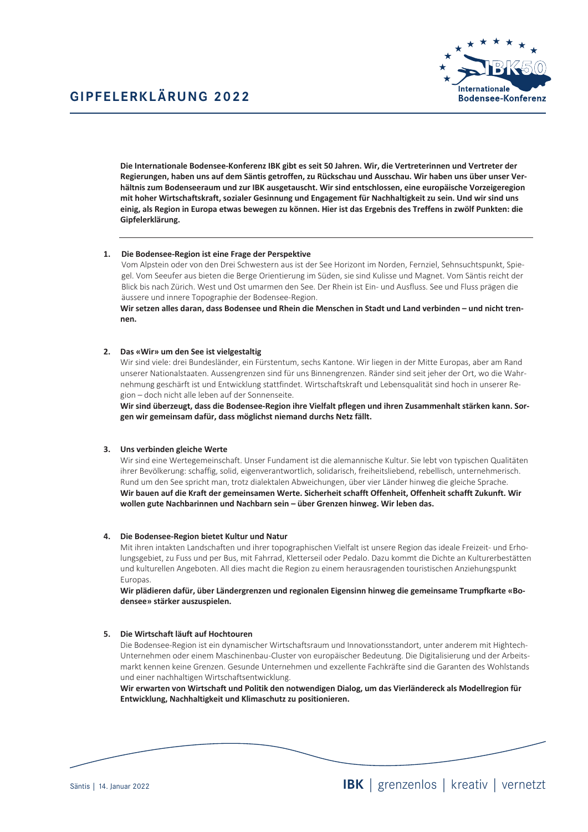

Die Internationale Bodensee-Konferenz IBK gibt es seit 50 Jahren. Wir, die Vertreterinnen und Vertreter der Regierungen, haben uns auf dem Säntis getroffen, zu Rückschau und Ausschau. Wir haben uns über unser Verhältnis zum Bodenseeraum und zur IBK ausgetauscht. Wir sind entschlossen, eine europäische Vorzeigeregion mit hoher Wirtschaftskraft, sozialer Gesinnung und Engagement für Nachhaltigkeit zu sein. Und wir sind uns einig, als Region in Europa etwas bewegen zu können. Hier ist das Ergebnis des Treffens in zwölf Punkten: die Gipfelerklärung.

# 1. Die Bodensee-Region ist eine Frage der Perspektive

Vom Alpstein oder von den Drei Schwestern aus ist der See Horizont im Norden, Fernziel, Sehnsuchtspunkt, Spiegel. Vom Seeufer aus bieten die Berge Orientierung im Süden, sie sind Kulisse und Magnet. Vom Säntis reicht der Blick bis nach Zürich. West und Ost umarmen den See. Der Rhein ist Ein- und Ausfluss. See und Fluss prägen die äussere und innere Topographie der Bodensee-Region.

Wir setzen alles daran, dass Bodensee und Rhein die Menschen in Stadt und Land verbinden - und nicht trennen.

### 2. Das «Wir» um den See ist vielgestaltig

Wir sind viele: drei Bundesländer, ein Fürstentum, sechs Kantone. Wir liegen in der Mitte Europas, aber am Rand unserer Nationalstaaten. Aussengrenzen sind für uns Binnengrenzen. Ränder sind seit jeher der Ort, wo die Wahrnehmung geschärft ist und Entwicklung stattfindet. Wirtschaftskraft und Lebensqualität sind hoch in unserer Region - doch nicht alle leben auf der Sonnenseite.

Wir sind überzeugt, dass die Bodensee-Region ihre Vielfalt pflegen und ihren Zusammenhalt stärken kann. Sorgen wir gemeinsam dafür, dass möglichst niemand durchs Netz fällt.

#### 3. Uns verbinden gleiche Werte

Wir sind eine Wertegemeinschaft. Unser Fundament ist die alemannische Kultur. Sie lebt von typischen Qualitäten ihrer Bevölkerung: schaffig, solid, eigenverantwortlich, solidarisch, freiheitsliebend, rebellisch, unternehmerisch. Rund um den See spricht man, trotz dialektalen Abweichungen, über vier Länder hinweg die gleiche Sprache. Wir bauen auf die Kraft der gemeinsamen Werte. Sicherheit schafft Offenheit, Offenheit schafft Zukunft. Wir wollen gute Nachbarinnen und Nachbarn sein - über Grenzen hinweg. Wir leben das.

### 4. Die Bodensee-Region bietet Kultur und Natur

Mit ihren intakten Landschaften und ihrer topographischen Vielfalt ist unsere Region das ideale Freizeit- und Erholungsgebiet, zu Fuss und per Bus, mit Fahrrad, Kletterseil oder Pedalo. Dazu kommt die Dichte an Kulturerbestätten und kulturellen Angeboten. All dies macht die Region zu einem herausragenden touristischen Anziehungspunkt Europas.

Wir plädieren dafür, über Ländergrenzen und regionalen Eigensinn hinweg die gemeinsame Trumpfkarte «Bodensee» stärker auszuspielen.

### 5. Die Wirtschaft läuft auf Hochtouren

Die Bodensee-Region ist ein dynamischer Wirtschaftsraum und Innovationsstandort, unter anderem mit Hightech-Unternehmen oder einem Maschinenbau-Cluster von europäischer Bedeutung. Die Digitalisierung und der Arbeitsmarkt kennen keine Grenzen. Gesunde Unternehmen und exzellente Fachkräfte sind die Garanten des Wohlstands und einer nachhaltigen Wirtschaftsentwicklung.

Wir erwarten von Wirtschaft und Politik den notwendigen Dialog, um das Vierländereck als Modellregion für Entwicklung, Nachhaltigkeit und Klimaschutz zu positionieren.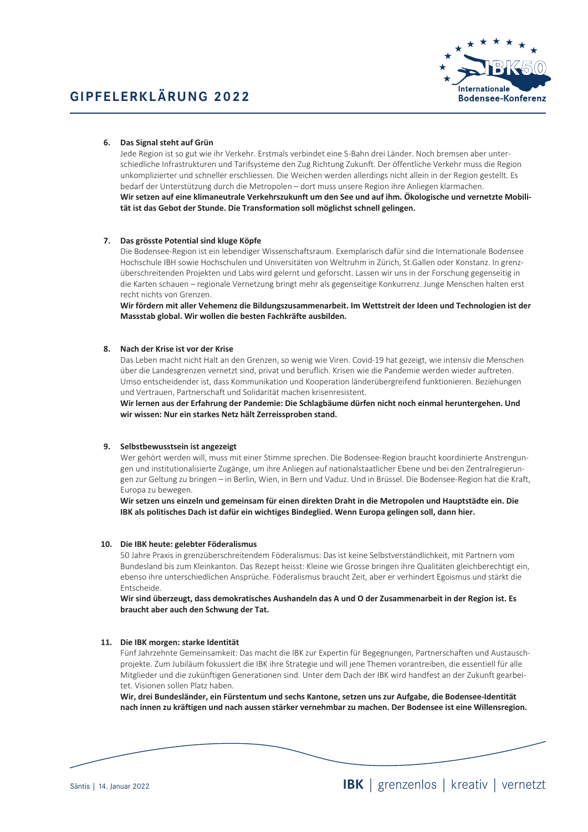

# 6. Das Signal steht auf Grün

Jede Region ist so gut wie ihr Verkehr. Erstmals verbindet eine S-Bahn drei Länder. Noch bremsen aber unterschiedliche Infrastrukturen und Tarifsysteme den Zug Richtung Zukunft. Der öffentliche Verkehr muss die Region unkomplizierter und schneller erschliessen. Die Weichen werden allerdings nicht allein in der Region gestellt. Es bedarf der Unterstützung durch die Metropolen – dort muss unsere Region ihre Anliegen klarmachen. Wir setzen auf eine klimaneutrale Verkehrszukunft um den See und auf ihm. Ökologische und vernetzte Mobilität ist das Gebot der Stunde. Die Transformation soll möglichst schnell gelingen.

# 7. Das grösste Potential sind kluge Köpfe

Die Bodensee-Region ist ein lebendiger Wissenschaftsraum. Exemplarisch dafür sind die Internationale Bodensee Hochschule IBH sowie Hochschulen und Universitäten von Weltruhm in Zürich, St.Gallen oder Konstanz. In grenzüberschreitenden Projekten und Labs wird gelernt und geforscht. Lassen wir uns in der Forschung gegenseitig in die Karten schauen - regionale Vernetzung bringt mehr als gegenseitige Konkurrenz. Junge Menschen halten erst recht nichts von Grenzen

Wir fördern mit aller Vehemenz die Bildungszusammenarbeit. Im Wettstreit der Ideen und Technologien ist der Massstab global. Wir wollen die besten Fachkräfte ausbilden.

# 8. Nach der Krise ist vor der Krise

Das Leben macht nicht Halt an den Grenzen, so wenig wie Viren. Covid-19 hat gezeigt, wie intensiv die Menschen über die Landesgrenzen vernetzt sind, privat und beruflich. Krisen wie die Pandemie werden wieder auftreten. Umso entscheidender ist, dass Kommunikation und Kooperation länderübergreifend funktionieren. Beziehungen und Vertrauen, Partnerschaft und Solidarität machen krisenresistent.

Wir lernen aus der Erfahrung der Pandemie: Die Schlagbäume dürfen nicht noch einmal heruntergehen. Und wir wissen: Nur ein starkes Netz hält Zerreissproben stand.

# 9. Selbstbewusstsein ist angezeigt

Wer gehört werden will, muss mit einer Stimme sprechen. Die Bodensee-Region braucht koordinierte Anstrengungen und institutionalisierte Zugänge, um ihre Anliegen auf nationalstaatlicher Ebene und bei den Zentralregierungen zur Geltung zu bringen - in Berlin, Wien, in Bern und Vaduz. Und in Brüssel. Die Bodensee-Region hat die Kraft, Europa zu bewegen.

Wir setzen uns einzeln und gemeinsam für einen direkten Draht in die Metropolen und Hauptstädte ein. Die IBK als politisches Dach ist dafür ein wichtiges Bindeglied. Wenn Europa gelingen soll, dann hier.

#### 10. Die IBK heute: gelebter Föderalismus

50 Jahre Praxis in grenzüberschreitendem Föderalismus: Das ist keine Selbstverständlichkeit, mit Partnern vom Bundesland bis zum Kleinkanton. Das Rezept heisst: Kleine wie Grosse bringen ihre Qualitäten gleichberechtigt ein. ebenso ihre unterschiedlichen Ansprüche. Föderalismus braucht Zeit, aber er verhindert Egoismus und stärkt die Entscheide.

Wir sind überzeugt, dass demokratisches Aushandeln das A und O der Zusammenarbeit in der Region ist. Es braucht aber auch den Schwung der Tat.

#### 11. Die IBK morgen: starke Identität

Fünf Jahrzehnte Gemeinsamkeit: Das macht die IBK zur Expertin für Begegnungen, Partnerschaften und Austauschprojekte. Zum Jubiläum fokussiert die IBK ihre Strategie und will jene Themen vorantreiben, die essentiell für alle Mitglieder und die zukünftigen Generationen sind. Unter dem Dach der IBK wird handfest an der Zukunft gearbeitet. Visionen sollen Platz haben.

Wir, drei Bundesländer, ein Fürstentum und sechs Kantone, setzen uns zur Aufgabe, die Bodensee-Identität nach innen zu kräftigen und nach aussen stärker vernehmbar zu machen. Der Bodensee ist eine Willensregion.